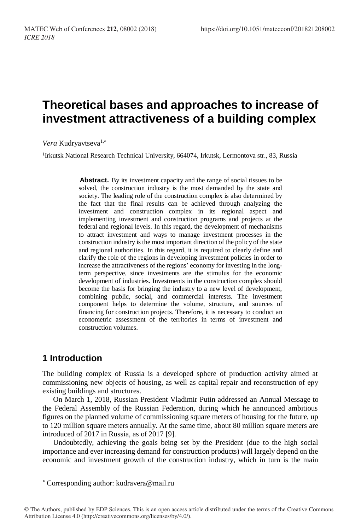# **Theoretical bases and approaches to increase of investment attractiveness of a building complex**

Vera Kudryavtseva<sup>1,\*</sup>

<sup>1</sup>Irkutsk National Research Technical University, 664074, Irkutsk, Lermontova str., 83, Russia

Abstract. By its investment capacity and the range of social tissues to be solved, the construction industry is the most demanded by the state and society. The leading role of the construction complex is also determined by the fact that the final results can be achieved through analyzing the investment and construction complex in its regional aspect and implementing investment and construction programs and projects at the federal and regional levels. In this regard, the development of mechanisms to attract investment and ways to manage investment processes in the construction industry is the most important direction of the policy of the state and regional authorities. In this regard, it is required to clearly define and clarify the role of the regions in developing investment policies in order to increase the attractiveness of the regions' economy for investing in the longterm perspective, since investments are the stimulus for the economic development of industries. Investments in the construction complex should become the basis for bringing the industry to a new level of development, combining public, social, and commercial interests. The investment component helps to determine the volume, structure, and sources of financing for construction projects. Therefore, it is necessary to conduct an econometric assessment of the territories in terms of investment and construction volumes.

### **1 Introduction**

l

The building complex of Russia is a developed sphere of production activity aimed at commissioning new objects of housing, as well as capital repair and reconstruction of еру existing buildings and structures.

On March 1, 2018, Russian President Vladimir Putin addressed an Annual Message to the Federal Assembly of the Russian Federation, during which he announced ambitious figures on the planned volume of commissioning square meters of housing for the future, up to 120 million square meters annually. At the same time, about 80 million square meters are introduced of 2017 in Russia, as of 2017 [9].

Undoubtedly, achieving the goals being set by the President (due to the high social importance and ever increasing demand for construction products) will largely depend on the economic and investment growth of the construction industry, which in turn is the main

Corresponding author: kudravera@mail.ru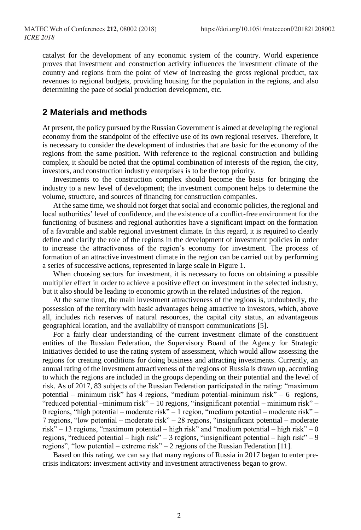catalyst for the development of any economic system of the country. World experience proves that investment and construction activity influences the investment climate of the country and regions from the point of view of increasing the gross regional product, tax revenues to regional budgets, providing housing for the population in the regions, and also determining the pace of social production development, etc.

### **2 Materials and methods**

At present, the policy pursued by the Russian Government is aimed at developing the regional economy from the standpoint of the effective use of its own regional reserves. Therefore, it is necessary to consider the development of industries that are basic for the economy of the regions from the same position. With reference to the regional construction and building complex, it should be noted that the optimal combination of interests of the region, the city, investors, and construction industry enterprises is to be the top priority.

Investments to the construction complex should become the basis for bringing the industry to a new level of development; the investment component helps to determine the volume, structure, and sources of financing for construction companies.

At the same time, we should not forget that social and economic policies, the regional and local authorities' level of confidence, and the existence of a conflict-free environment for the functioning of business and regional authorities have a significant impact on the formation of a favorable and stable regional investment climate. In this regard, it is required to clearly define and clarify the role of the regions in the development of investment policies in order to increase the attractiveness of the region's economy for investment. The process of formation of an attractive investment climate in the region can be carried out by performing a series of successive actions, represented in large scale in Figure 1.

When choosing sectors for investment, it is necessary to focus on obtaining a possible multiplier effect in order to achieve a positive effect on investment in the selected industry, but it also should be leading to economic growth in the related industries of the region.

At the same time, the main investment attractiveness of the regions is, undoubtedly, the possession of the territory with basic advantages being attractive to investors, which, above all, includes rich reserves of natural resources, the capital city status, an advantageous geographical location, and the availability of transport communications [5].

For a fairly clear understanding of the current investment climate of the constituent entities of the Russian Federation, the Supervisory Board of the Agency for Strategic Initiatives decided to use the rating system of assessment, which would allow assessing the regions for creating conditions for doing business and attracting investments. Currently, an annual rating of the investment attractiveness of the regions of Russia is drawn up, according to which the regions are included in the groups depending on their potential and the level of risk. As of 2017, 83 subjects of the Russian Federation participated in the rating: "maximum potential – minimum risk" has 4 regions, "medium potential-minimum risk" – 6 regions, "reduced potential –minimum risk" – 10 regions, "insignificant potential – minimum risk" – 0 regions, "high potential – moderate risk" – 1 region, "medium potential – moderate risk" – 7 regions, "low potential – moderate risk" – 28 regions, "insignificant potential – moderate risk" – 13 regions, "maximum potential – high risk" and "medium potential – high risk" – 0 regions, "reduced potential – high risk" – 3 regions, "insignificant potential – high risk" – 9 regions", "low potential – extreme risk" – 2 regions of the Russian Federation [11].

Based on this rating, we can say that many regions of Russia in 2017 began to enter precrisis indicators: investment activity and investment attractiveness began to grow.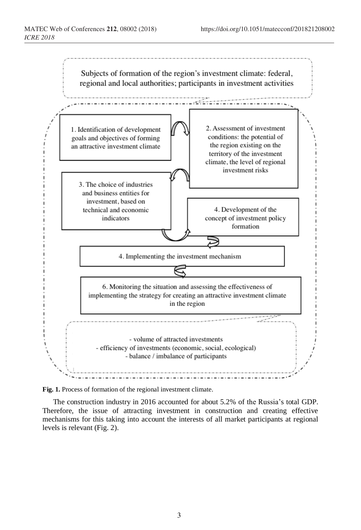

**Fig. 1.** Process of formation of the regional investment climate.

The construction industry in 2016 accounted for about 5.2% of the Russia's total GDP. Therefore, the issue of attracting investment in construction and creating effective mechanisms for this taking into account the interests of all market participants at regional levels is relevant (Fig. 2).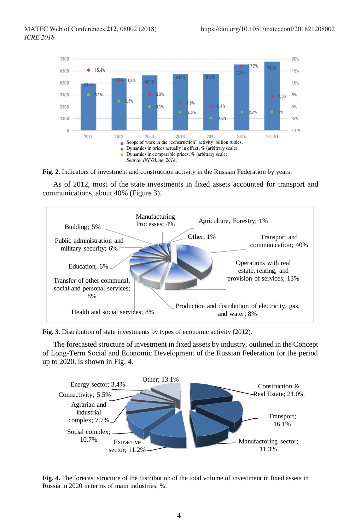



As of 2012, most of the state investments in fixed assets accounted for transport and communications, about 40% (Figure 3).



**Fig. 3.** Distribution of state investments by types of economic activity (2012).

The forecasted structure of investment in fixed assets by industry, outlined in the Concept of Long-Term Social and Economic Development of the Russian Federation for the period up to 2020, is shown in Fig. 4.



**Fig. 4.** The forecast structure of the distribution of the total volume of investment in fixed assets in Russia in 2020 in terms of main industries, %.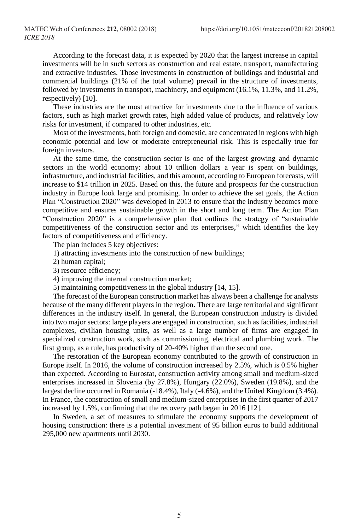According to the forecast data, it is expected by 2020 that the largest increase in capital investments will be in such sectors as construction and real estate, transport, manufacturing and extractive industries. Those investments in construction of buildings and industrial and commercial buildings (21% of the total volume) prevail in the structure of investments, followed by investments in transport, machinery, and equipment (16.1%, 11.3%, and 11.2%, respectively) [10].

These industries are the most attractive for investments due to the influence of various factors, such as high market growth rates, high added value of products, and relatively low risks for investment, if compared to other industries, etc.

Most of the investments, both foreign and domestic, are concentrated in regions with high economic potential and low or moderate entrepreneurial risk. This is especially true for foreign investors.

At the same time, the construction sector is one of the largest growing and dynamic sectors in the world economy: about 10 trillion dollars a year is spent on buildings, infrastructure, and industrial facilities, and this amount, according to European forecasts, will increase to \$14 trillion in 2025. Based on this, the future and prospects for the construction industry in Europe look large and promising. In order to achieve the set goals, the Action Plan "Construction 2020" was developed in 2013 to ensure that the industry becomes more competitive and ensures sustainable growth in the short and long term. The Action Plan "Construction 2020" is a comprehensive plan that outlines the strategy of "sustainable competitiveness of the construction sector and its enterprises," which identifies the key factors of competitiveness and efficiency.

The plan includes 5 key objectives:

- 1) attracting investments into the construction of new buildings;
- 2) human capital;
- 3) resource efficiency;
- 4) improving the internal construction market;
- 5) maintaining competitiveness in the global industry [14, 15].

The forecast of the European construction market has always been a challenge for analysts because of the many different players in the region. There are large territorial and significant differences in the industry itself. In general, the European construction industry is divided into two major sectors: large players are engaged in construction, such as facilities, industrial complexes, civilian housing units, as well as a large number of firms are engaged in specialized construction work, such as commissioning, electrical and plumbing work. The first group, as a rule, has productivity of 20-40% higher than the second one.

The restoration of the European economy contributed to the growth of construction in Europe itself. In 2016, the volume of construction increased by 2.5%, which is 0.5% higher than expected. According to Eurostat, construction activity among small and medium-sized enterprises increased in Slovenia (by 27.8%), Hungary (22.0%), Sweden (19.8%), and the largest decline occurred in Romania (-18.4%), Italy (-4.6%), and the United Kingdom (3.4%). In France, the construction of small and medium-sized enterprises in the first quarter of 2017 increased by 1.5%, confirming that the recovery path began in 2016 [12].

In Sweden, a set of measures to stimulate the economy supports the development of housing construction: there is a potential investment of 95 billion euros to build additional 295,000 new apartments until 2030.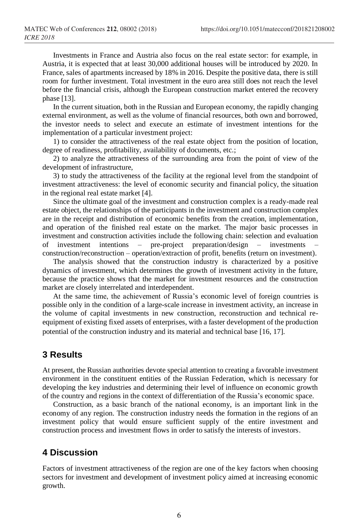Investments in France and Austria also focus on the real estate sector: for example, in Austria, it is expected that at least 30,000 additional houses will be introduced by 2020. In France, sales of apartments increased by 18% in 2016. Despite the positive data, there is still room for further investment. Total investment in the euro area still does not reach the level before the financial crisis, although the European construction market entered the recovery phase [13].

In the current situation, both in the Russian and European economy, the rapidly changing external environment, as well as the volume of financial resources, both own and borrowed, the investor needs to select and execute an estimate of investment intentions for the implementation of a particular investment project:

1) to consider the attractiveness of the real estate object from the position of location, degree of readiness, profitability, availability of documents, etc.;

2) to analyze the attractiveness of the surrounding area from the point of view of the development of infrastructure,

3) to study the attractiveness of the facility at the regional level from the standpoint of investment attractiveness: the level of economic security and financial policy, the situation in the regional real estate market [4].

Since the ultimate goal of the investment and construction complex is a ready-made real estate object, the relationships of the participants in the investment and construction complex are in the receipt and distribution of economic benefits from the creation, implementation, and operation of the finished real estate on the market. The major basic processes in investment and construction activities include the following chain: selection and evaluation of investment intentions – pre-project preparation/design – investments – construction/reconstruction – operation/extraction of profit, benefits (return on investment).

The analysis showed that the construction industry is characterized by a positive dynamics of investment, which determines the growth of investment activity in the future, because the practice shows that the market for investment resources and the construction market are closely interrelated and interdependent.

At the same time, the achievement of Russia's economic level of foreign countries is possible only in the condition of a large-scale increase in investment activity, an increase in the volume of capital investments in new construction, reconstruction and technical reequipment of existing fixed assets of enterprises, with a faster development of the production potential of the construction industry and its material and technical base [16, 17].

## **3 Results**

At present, the Russian authorities devote special attention to creating a favorable investment environment in the constituent entities of the Russian Federation, which is necessary for developing the key industries and determining their level of influence on economic growth of the country and regions in the context of differentiation of the Russia's economic space.

Construction, as a basic branch of the national economy, is an important link in the economy of any region. The construction industry needs the formation in the regions of an investment policy that would ensure sufficient supply of the entire investment and construction process and investment flows in order to satisfy the interests of investors.

## **4 Discussion**

Factors of investment attractiveness of the region are one of the key factors when choosing sectors for investment and development of investment policy aimed at increasing economic growth.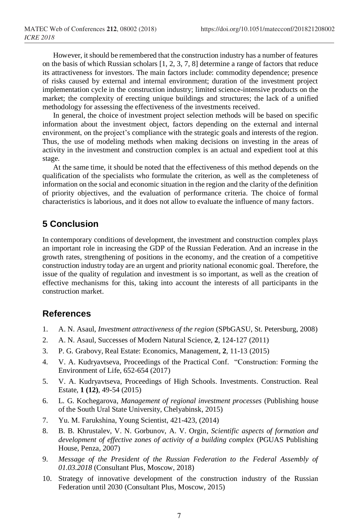However, it should be remembered that the construction industry has a number of features on the basis of which Russian scholars [1, 2, 3, 7, 8] determine a range of factors that reduce its attractiveness for investors. The main factors include: commodity dependence; presence of risks caused by external and internal environment; duration of the investment project implementation cycle in the construction industry; limited science-intensive products on the market; the complexity of erecting unique buildings and structures; the lack of a unified methodology for assessing the effectiveness of the investments received.

In general, the choice of investment project selection methods will be based on specific information about the investment object, factors depending on the external and internal environment, on the project's compliance with the strategic goals and interests of the region. Thus, the use of modeling methods when making decisions on investing in the areas of activity in the investment and construction complex is an actual and expedient tool at this stage.

At the same time, it should be noted that the effectiveness of this method depends on the qualification of the specialists who formulate the criterion, as well as the completeness of information on the social and economic situation in the region and the clarity of the definition of priority objectives, and the evaluation of performance criteria. The choice of formal characteristics is laborious, and it does not allow to evaluate the influence of many factors.

## **5 Conclusion**

In contemporary conditions of development, the investment and construction complex plays an important role in increasing the GDP of the Russian Federation. And an increase in the growth rates, strengthening of positions in the economy, and the creation of a competitive construction industry today are an urgent and priority national economic goal. Therefore, the issue of the quality of regulation and investment is so important, as well as the creation of effective mechanisms for this, taking into account the interests of all participants in the construction market.

### **References**

- 1. A. N. Asaul, *Investment attractiveness of the region* (SPbGASU, St. Petersburg, 2008)
- 2. A. N. Asaul, Successes of Modern Natural Science, **2**, 124-127 (2011)
- 3. P. G. Grabovy, Real Estate: Economics, Management, **2**, 11-13 (2015)
- 4. V. A. Kudryavtseva, Proceedings of the Practical Conf. "Construction: Forming the Environment of Life, 652-654 (2017)
- 5. V. A. Kudryavtseva, Proceedings of High Schools. Investments. Construction. Real Estate, **1 (12)**, 49-54 (2015)
- 6. L. G. Kochegarova, *Management of regional investment processes* (Publishing house of the South Ural State University, Chelyabinsk, 2015)
- 7. Yu. M. Farukshina, Young Scientist, 421-423, (2014)
- 8. B. B. Khrustalev, V. N. Gorbunov, A. V. Orgin, *Scientific aspects of formation and development of effective zones of activity of a building complex* (PGUAS Publishing House, Penza, 2007)
- 9. *Message of the President of the Russian Federation to the Federal Assembly of 01.03.2018* (Consultant Plus, Moscow, 2018)
- 10. Strategy of innovative development of the construction industry of the Russian Federation until 2030 (Consultant Plus, Moscow, 2015)